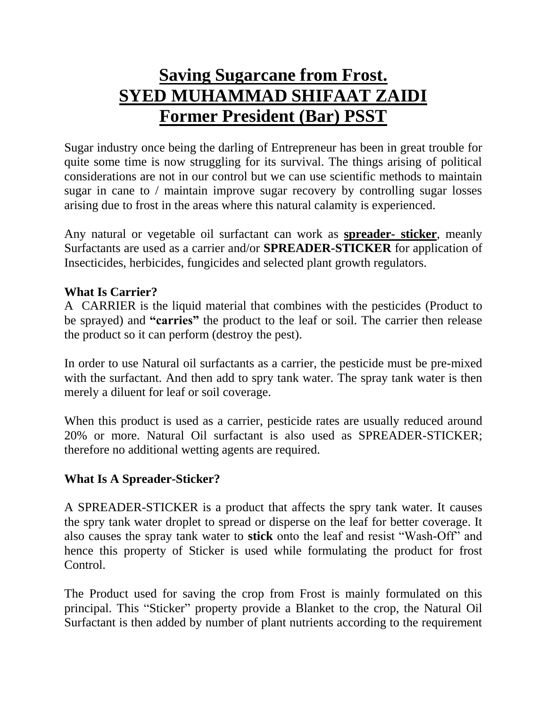## **Saving Sugarcane from Frost. SYED MUHAMMAD SHIFAAT ZAIDI Former President (Bar) PSST**

Sugar industry once being the darling of Entrepreneur has been in great trouble for quite some time is now struggling for its survival. The things arising of political considerations are not in our control but we can use scientific methods to maintain sugar in cane to / maintain improve sugar recovery by controlling sugar losses arising due to frost in the areas where this natural calamity is experienced.

Any natural or vegetable oil surfactant can work as **spreader- sticker**, meanly Surfactants are used as a carrier and/or **SPREADER-STICKER** for application of Insecticides, herbicides, fungicides and selected plant growth regulators.

## **What Is Carrier?**

A CARRIER is the liquid material that combines with the pesticides (Product to be sprayed) and **"carries"** the product to the leaf or soil. The carrier then release the product so it can perform (destroy the pest).

In order to use Natural oil surfactants as a carrier, the pesticide must be pre-mixed with the surfactant. And then add to spry tank water. The spray tank water is then merely a diluent for leaf or soil coverage.

When this product is used as a carrier, pesticide rates are usually reduced around 20% or more. Natural Oil surfactant is also used as SPREADER-STICKER; therefore no additional wetting agents are required.

## **What Is A Spreader-Sticker?**

A SPREADER-STICKER is a product that affects the spry tank water. It causes the spry tank water droplet to spread or disperse on the leaf for better coverage. It also causes the spray tank water to **stick** onto the leaf and resist "Wash-Off" and hence this property of Sticker is used while formulating the product for frost Control.

The Product used for saving the crop from Frost is mainly formulated on this principal. This "Sticker" property provide a Blanket to the crop, the Natural Oil Surfactant is then added by number of plant nutrients according to the requirement